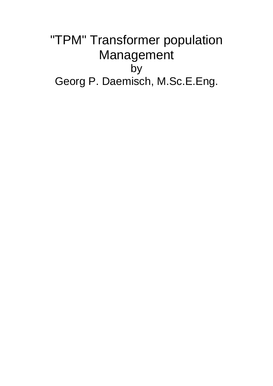# "TPM" Transformer population Management by Georg P. Daemisch, M.Sc.E.Eng.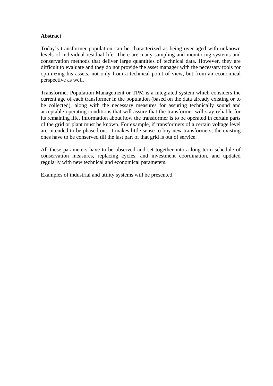#### **Abstract**

Today's transformer population can be characterized as being over-aged with unknown levels of individual residual life. There are many sampling and monitoring systems and conservation methods that deliver large quantities of technical data. However, they are difficult to evaluate and they do not provide the asset manager with the necessary tools for optimizing his assets, not only from a technical point of view, but from an economical perspective as well.

Transformer Population Management or TPM is a integrated system which considers the current age of each transformer in the population (based on the data already existing or to be collected), along with the necessary measures for assuring technically sound and acceptable operating conditions that will assure that the transformer will stay reliable for its remaining life. Information about how the transformer is to be operated in certain parts of the grid or plant must be known. For example, if transformers of a certain voltage level are intended to be phased out, it makes little sense to buy new transformers; the existing ones have to be conserved till the last part of that grid is out of service.

All these parameters have to be observed and set together into a long term schedule of conservation measures, replacing cycles, and investment coordination, and updated regularly with new technical and economical parameters.

Examples of industrial and utility systems will be presented.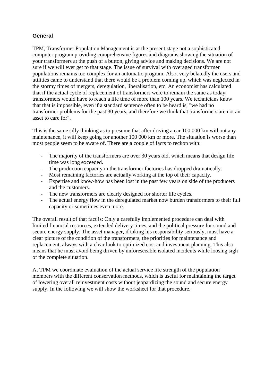# **General**

TPM, Transformer Population Management is at the present stage not a sophisticated computer program providing comprehensive figures and diagrams showing the situation of your transformers at the push of a button, giving advice and making decisions. We are not sure if we will ever get to that stage. The issue of survival with overaged transformer populations remains too complex for an automatic program. Also, very belatedly the users and utilities came to understand that there would be a problem coming up, which was neglected in the stormy times of mergers, deregulation, liberalisation, etc. An economist has calculated that if the actual cycle of replacement of transformers were to remain the same as today, transformers would have to reach a life time of more than 100 years. We technicians know that that is impossible, even if a standard sentence often to be heard is, "we had no transformer problems for the past 30 years, and therefore we think that transformers are not an asset to care for".

This is the same silly thinking as to presume that after driving a car 100 000 km without any maintenance, it will keep going for another 100 000 km or more. The situation is worse than most people seem to be aware of. There are a couple of facts to reckon with:

- The majority of the transformers are over 30 years old, which means that design life time was long exceeded.
- The production capacity in the transformer factories has dropped dramatically.
- Most remaining factories are actually working at the top of their capacity.
- Expertise and know-how has been lost in the past few years on side of the producers and the customers.
- The new transformers are clearly designed for shorter life cycles.
- The actual energy flow in the deregulated market now burden transformers to their full capacity or sometimes even more.

The overall result of that fact is: Only a carefully implemented procedure can deal with limited financial resources, extended delivery times, and the political pressure for sound and secure energy supply. The asset manager, if taking his responsibility seriously, must have a clear picture of the condition of the transformers, the priorities for maintenance and replacement, always with a clear look to optimized cost and investment planning. This also means that he must avoid being driven by unforeseeable isolated incidents while loosing sigh of the complete situation.

At TPM we coordinate evaluation of the actual service life strength of the population members with the different conservation methods, which is useful for maintaining the target of lowering overall reinvestment costs without jeopardizing the sound and secure energy supply. In the following we will show the worksheet for that procedure.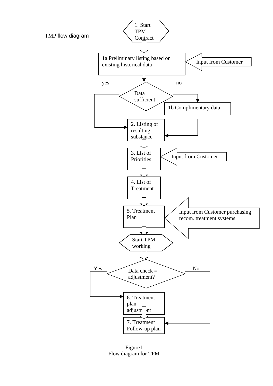

Figure1 Flow diagram for TPM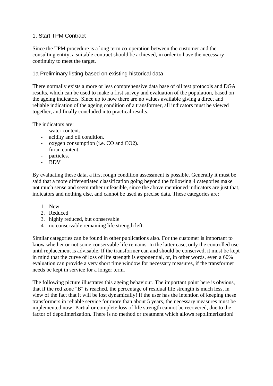## 1. Start TPM Contract

Since the TPM procedure is a long term co-operation between the customer and the consulting entity, a suitable contract should be achieved, in order to have the necessary continuity to meet the target.

#### 1a Preliminary listing based on existing historical data

There normally exists a more or less comprehensive data base of oil test protocols and DGA results, which can be used to make a first survey and evaluation of the population, based on the ageing indicators. Since up to now there are no values available giving a direct and reliable indication of the ageing condition of a transformer, all indicators must be viewed together, and finally concluded into practical results.

The indicators are:

- water content.
- acidity and oil condition.
- oxygen consumption (i.e. CO and CO2).
- furan content.
- particles.
- BDV

By evaluating these data, a first rough condition assessment is possible. Generally it must be said that a more differentiated classification going beyond the following 4 categories make not much sense and seem rather unfeasible, since the above mentioned indicators are just that, indicators and nothing else, and cannot be used as precise data. These categories are:

- 1. New
- 2. Reduced
- 3. highly reduced, but conservable
- 4. no conservable remaining life strength left.

Similar categories can be found in other publications also. For the customer is important to know whether or not some conservable life remains. In the latter case, only the controlled use until replacement is advisable. If the transformer can and should be conserved, it must be kept in mind that the curve of loss of life strength is exponential, or, in other words, even a 60% evaluation can provide a very short time window for necessary measures, if the transformer needs be kept in service for a longer term.

The following picture illustrates this ageing behaviour. The important point here is obvious, that if the red zone "B" is reached, the percentage of residual life strength is much less, in view of the fact that it will be lost dynamically! If the user has the intention of keeping these transformers in reliable service for more than about 5 years, the necessary measures must be implemented now! Partial or complete loss of life strength cannot be recovered, due to the factor of depolimerization. There is no method or treatment which allows repolimerization!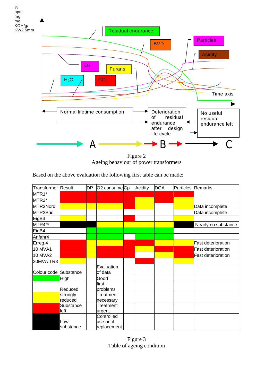

Figure 2 Ageing behaviour of power transformers

Based on the above evaluation the following first table can be made:

| <b>Transformer Result</b> |                     | <b>DP</b> | O <sub>2</sub> consume <sub>Cp</sub>   | Acidity | <b>DGA</b> | Particles Remarks |                           |
|---------------------------|---------------------|-----------|----------------------------------------|---------|------------|-------------------|---------------------------|
| MTR1*                     |                     |           |                                        |         |            |                   |                           |
| MTR2*                     |                     |           |                                        |         |            |                   |                           |
| MTR3Nord                  |                     |           |                                        |         |            |                   | Data incomplete           |
| MTR3Süd                   |                     |           |                                        |         |            |                   | Data incomplete           |
| EigB3                     |                     |           |                                        |         |            |                   |                           |
| MTR4**                    |                     |           |                                        |         |            |                   | Nearly no substance       |
| EigB4                     |                     |           |                                        |         |            |                   |                           |
| Anfahr4                   |                     |           |                                        |         |            |                   |                           |
| Erreg.4                   |                     |           |                                        |         |            |                   | <b>Fast deterioration</b> |
| <b>10 MVA1</b>            |                     |           |                                        |         |            |                   | <b>Fast deterioration</b> |
| <b>10 MVA2</b>            |                     |           |                                        |         |            |                   | <b>Fast deterioration</b> |
| 20MVA TR3                 |                     |           |                                        |         |            |                   |                           |
| Colour code Substance     |                     |           | Evaluation<br>of data                  |         |            |                   |                           |
|                           | High                |           | Good                                   |         |            |                   |                           |
|                           | Reduced             |           | first<br>problems                      |         |            |                   |                           |
|                           | strongly<br>reduced |           | Treatment<br>necessary                 |         |            |                   |                           |
|                           | Substance<br>left   |           | Treatment<br>urgent                    |         |            |                   |                           |
|                           | Low<br>substance    |           | Controlled<br>use until<br>replacement |         |            |                   |                           |

Figure 3 Table of ageing condition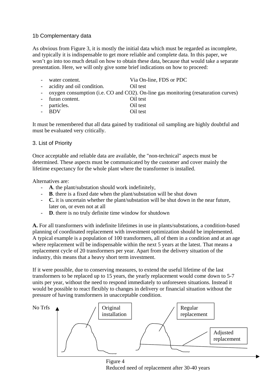## 1b Complementary data

As obvious from Figure 3, it is mostly the initial data which must be regarded as incomplete, and typically it is indispensable to get more reliable and complete data. In this paper, we won't go into too much detail on how to obtain these data, because that would take a separate presentation. Here, we will only give some brief indications on how to proceed:

| water content.               | Via On-line, FDS or PDC                                                              |
|------------------------------|--------------------------------------------------------------------------------------|
| - acidity and oil condition. | Oil test                                                                             |
|                              | - oxygen consumption (i.e. CO and CO2). On-line gas monitoring (resaturation curves) |
| - furan content.             | Oil test                                                                             |
| particles.                   | Oil test                                                                             |
| <b>BDV</b>                   | Oil test                                                                             |
|                              |                                                                                      |

It must be remembered that all data gained by traditional oil sampling are highly doubtful and must be evaluated very critically.

#### 3. List of Priority

Once acceptable and reliable data are available, the "non-technical" aspects must be determined. These aspects must be communicated by the customer and cover mainly the lifetime expectancy for the whole plant where the transformer is installed.

Alternatives are:

- **A**. the plant/substation should work indefinitely,
- **B**. there is a fixed date when the plant/substation will be shut down
- **C.** it is uncertain whether the plant/substation will be shut down in the near future, later on, or even not at all
- **D**. there is no truly definite time window for shutdown

**A.** For all transformers with indefinite lifetimes in use in plants/substations, a condition-based planning of coordinated replacement with investment optimization should be implemented. A typical example is a population of 100 transformers, all of them in a condition and at an age where replacement will be indispensable within the next 5 years at the latest. That means a replacement cycle of 20 transformers per year. Apart from the delivery situation of the industry, this means that a heavy short term investment.

If it were possible, due to conserving measures, to extend the useful lifetime of the last transformers to be replaced up to 15 years, the yearly replacement would come down to 5-7 units per year, without the need to respond immediately to unforeseen situations. Instead it would be possible to react flexibly to changes in delivery or financial situation without the pressure of having transformers in unacceptable condition.



Figure 4 Reduced need of replacement after 30-40 years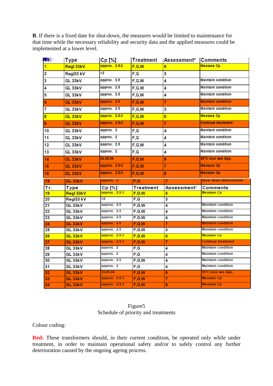**B**. If there is a fixed date for shut-down, the measures would be limited to maintenance for that time while the necessary reliability and security data and the applied measures could be implemented at a lower level.

| lTr.                    | Type               | $Cp$ [%]        | Treatment        | Assessment*     | <b>Comments</b>                |
|-------------------------|--------------------|-----------------|------------------|-----------------|--------------------------------|
| 1                       | Regl 33kV          | approx. 2.5-3   | F, G, W          | 6               | <b>Measure Cp</b>              |
| $\overline{\mathbf{c}}$ | RegI33 kV          | <2              | F,G              | 3               |                                |
| 3                       | GL 33kV            | approx. 2.5     | F, G, W          | 4               | Maintain condition             |
| 4                       | GL 33kV            | approx. 2.5     | F, G, W          | 4               | <b>Maintain condition</b>      |
| 5                       | GL 33kV            | approx. 2.5     | F, G, W          | 4               | <b>Maintain condition</b>      |
| 6                       | GL 33kV            | approx. 2.5     | F, G, W          | 7               | <b>Maintain condition</b>      |
| $\overline{7}$          | GL 33kV            | approx. 2.5     | F, G, W          | 3               | Maintain condition             |
| 8                       | <b>GL 33kV</b>     | approx. 2.5-3   | F, G, W          | $6\phantom{1}6$ | <b>Measure Cp</b>              |
| 9                       | <b>GL 33kV</b>     | approx. 2.5-3   | F, G, W          | 7               | <b>Continue treatment</b>      |
| 10                      | GL 33kV            | approx. 2       | F,G              | 4               | <b>Maintain condition</b>      |
| 11                      | GL 33kV            | approx. 2       | F,G              | 4               | <b>Maintain condition</b>      |
| 12                      | GL 33kV            | approx. 2.5     | F, G, W          | 4               | <b>Maintain condition</b>      |
| 13                      | GL 33kV            | approx. 2       | F,G              | 4               | Maintain condition             |
| 14                      | GL 33kV            | 03.05.04        | F, G, W          | 9               | 55°C max see App.              |
| 15                      | GL 33kV            | approx. 2.5-3   | F.G.W            | 7               | <b>Measure Cp</b>              |
| 16                      | GL 33kV            | approx. 2.5-3   | F.G.W            | 8               | <b>Measure Cp</b>              |
|                         |                    |                 |                  |                 |                                |
| 18                      | GL 33kV            | approx. 2       | F,G              | $\overline{7}$  | <b>Slow down deterioration</b> |
| Tr.                     | Type               | Cp [%]          | Treatment        | Assessment*     | Comments                       |
| 19                      | Regl 33kV          | approx. 2.5-3   | F.G.W            | 6               | Measure Cp                     |
| 20                      | RegI33 kV          | <2              | F.G              | 3               |                                |
| 21                      | GL 33kV            | approx. 2.5     | F, G, W          | 4               | <b>Maintain condition</b>      |
| $\overline{22}$         | $GL$ 33kV          | approx. 2.5     | F, G, W          | 4               | <b>Maintain condition</b>      |
| 23                      | $GL$ 33kV          | approx. 2.5     | F.G.W            | 4               | <b>Maintain condition</b>      |
| 24                      | GL 33kV            | approx. 2.5     | F.G.W            | 7               | <b>Maintain condition</b>      |
| 25                      | GL 33kV            | approx. 2.5     | F.G.W            | 3               | Maintain condition             |
| 26                      | GL 33kV            | approx. 2.5-3   | F, G, W          | 6               | <b>Measure Cp</b>              |
| $\overline{27}$         | GL 33kV            | approx. $2.5-3$ | F.G.W            | 7               | <b>Continue treatment</b>      |
| 28                      | GL 33kV            | approx. 2       |                  | 4               | Maintain condition             |
|                         |                    | approx. 2       | F,G              |                 | Maintain condition             |
| 29<br>30                | GL 33kV            | approx. 2.5     | F,G              | 4<br>4          | Maintain condition             |
|                         | $GL$ 33kV          | approx. 2       | F, G, W          |                 | <b>Maintain condition</b>      |
| 31                      | GL 33kV            | 03.05.04        | F, G             | 4               | 55°C max see App.              |
| 32                      | GL 33kV            | approx. 2.5-3   | F.G.W            | 9               | <b>Measure Cp</b>              |
| 33<br>34                | GL 33kV<br>GL 33kV | approx. 2.5-3   | F, G, W<br>F.G.W | 7<br>8          | <b>Measure Cp</b>              |

#### Figure5 Schedule of priority and treatments

Colour coding:

**Red:** These transformers should, in their current condition, be operated only while under treatment, in order to maintain operational safety and/or to safely control any further deterioration caused by the ongoing ageing process.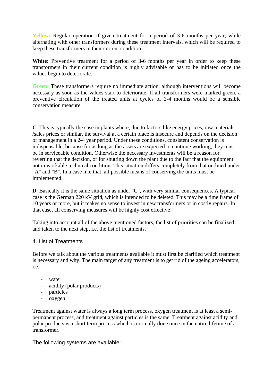**Yellow:** Regular operation if given treatment for a period of 3-6 months per year, while alternating with other transformers during these treatment intervals, which will be required to keep these transformers in their current condition.

White: Preventive treatment for a period of 3-6 months per year in order to keep these transformers in their current condition is highly advisable or has to be initiated once the values begin to deteriorate.

**Green:** These transformers require no immediate action, although interventions will become necessary as soon as the values start to deteriorate. If all transformers were marked green, a preventive circulation of the treated units at cycles of 3-4 months would be a sensible conservation measure.

**C**. This is typically the case in plants where, due to factors like energy prices, raw materials /sales prices or similar, the survival at a certain place is insecure and depends on the decision of management in a 2-4 year period. Under these conditions, consistent conservation is indispensable, because for as long as the assets are expected to continue working, they must be in serviceable condition. Otherwise the necessary investments will be a reason for reverting that the decision, or for shutting down the plant due to the fact that the equipment not in workable technical condition. This situation differs completely from that outlined under "A" and "B". In a case like that, all possible means of conserving the units must be implemented.

**D**. Basically it is the same situation as under "C", with very similar consequences. A typical case is the German 220 kV grid, which is intended to be deleted. This may be a time frame of 10 years or more, but it makes no sense to invest in new transformers or in costly repairs. In that case, all conserving measures will be highly cost effective!

Taking into account all of the above mentioned factors, the list of priorities can be finalized and taken to the next step, i.e. the list of treatments.

#### 4. List of Treatments

Before we talk about the various treatments available it must first be clarified which treatment is necessary and why. The main target of any treatment is to get rid of the ageing accelerators, i.e.:

- water
- acidity (polar products)
- particles
- oxygen

Treatment against water is always a long term process, oxygen treatment is at least a semipermanent process, and treatment against particles is the same. Treatment against acidity and polar products is a short term process which is normally done once in the entire lifetime of a transformer.

The following systems are available: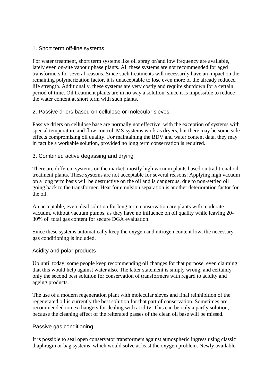#### 1. Short term off-line systems

For water treatment, short term systems like oil spray or/and low frequency are available, lately even on-site vapour phase plants. All these systems are not recommended for aged transformers for several reasons. Since such treatments will necessarily have an impact on the remaining polymerization factor, it is unacceptable to lose even more of the already reduced life strength. Additionally, these systems are very costly and require shutdown for a certain period of time. Oil treatment plants are in no way a solution, since it is impossible to reduce the water content at short term with such plants.

## 2. Passive driers based on cellulose or molecular sieves

Passive driers on cellulose base are normally not effective, with the exception of systems with special temperature and flow control. MS-systems work as dryers, but there may be some side effects compromising oil quality. For maintaining the BDV and water content data, they may in fact be a workable solution, provided no long term conservation is required.

## 3. Combined active degassing and drying

There are different systems on the market, mostly high vacuum plants based on traditional oil treatment plants. These systems are not acceptable for several reasons: Applying high vacuum on a long term basis will be destructive on the oil and is dangerous, due to non-settled oil going back to the transformer. Heat for emulsion separation is another deterioration factor for the oil.

An acceptable, even ideal solution for long term conservation are plants with moderate vacuum, without vacuum pumps, as they have no influence on oil quality while leaving 20- 30% of total gas content for secure DGA evaluation.

Since these systems automatically keep the oxygen and nitrogen content low, the necessary gas conditioning is included.

#### Acidity and polar products

Up until today, some people keep recommending oil changes for that purpose, even claiming that this would help against water also. The latter statement is simply wrong, and certainly only the second best solution for conservation of transformers with regard to acidity and ageing products.

The use of a modern regeneration plant with molecular sieves and final reinhibition of the regenerated oil is currently the best solution for that part of conservation. Sometimes are recommended ion exchangers for dealing with acidity. This can be only a partly solution, because the cleaning effect of the reiterated passes of the clean oil base will be missed.

#### Passive gas conditioning

It is possible to seal open conservator transformers against atmospheric ingress using classic diaphragm or bag systems, which would solve at least the oxygen problem. Newly available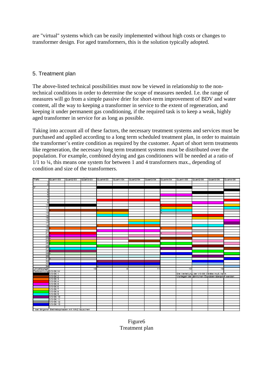are "virtual" systems which can be easily implemented without high costs or changes to transformer design. For aged transformers, this is the solution typically adopted.

# 5. Treatment plan

The above-listed technical possibilities must now be viewed in relationship to the nontechnical conditions in order to determine the scope of measures needed. I.e. the range of measures will go from a simple passive drier for short-term improvement of BDV and water content, all the way to keeping a transformer in service to the extent of regeneration, and keeping it under permanent gas conditioning, if the required task is to keep a weak, highly aged transformer in service for as long as possible.

Taking into account all of these factors, the necessary treatment systems and services must be purchased and applied according to a long term scheduled treatment plan, in order to maintain the transformer's entire condition as required by the customer. Apart of short term treatments like regeneration, the necessary long term treatment systems must be distributed over the population. For example, combined drying and gas conditioners will be needed at a ratio of 1/1 to ¼, this means one system for between 1 and 4 transformers max., depending of condition and size of the transformers.



Figure6 Treatment plan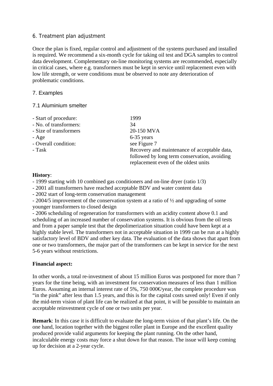#### 6. Treatment plan adjustment

Once the plan is fixed, regular control and adjustment of the systems purchased and installed is required. We recommend a six-month cycle for taking oil test and DGA samples to control data development. Complementary on-line monitoring systems are recommended, especially in critical cases, where e.g. transformers must be kept in service until replacement even with low life strength, or were conditions must be observed to note any deterioration of problematic conditions.

## 7. Examples

#### 7.1 Aluminium smelter

| - Start of procedure:  | 1999                                                                                 |
|------------------------|--------------------------------------------------------------------------------------|
| - No. of transformers: | 34                                                                                   |
| - Size of transformers | 20-150 MVA                                                                           |
| $-$ Age                | $6-35$ years                                                                         |
| - Overall condition:   | see Figure 7                                                                         |
| - Task                 | Recovery and maintenance of acceptable data,                                         |
|                        | followed by long term conservation, avoiding<br>replacement even of the oldest units |
|                        |                                                                                      |

#### **History**:

- 1999 starting with 10 combined gas conditioners and on-line dryer (ratio 1/3)
- 2001 all transformers have reached acceptable BDV and water content data
- 2002 start of long-term conservation management

- 2004/5 improvement of the conservation system at a ratio of ½ and upgrading of some younger transformers to closed design

- 2006 scheduling of regeneration for transformers with an acidity content above 0.1 and scheduling of an increased number of conservation systems. It is obvious from the oil tests and from a paper sample test that the depolimerization situation could have been kept at a highly stable level. The transformers not in acceptable situation in 1999 can be run at a highly satisfactory level of BDV and other key data. The evaluation of the data shows that apart from one or two transformers, the major part of the transformers can be kept in service for the next 5-6 years without restrictions.

#### **Financial aspect:**

In other words, a total re-investment of about 15 million Euros was postponed for more than 7 years for the time being, with an investment for conservation measures of less than 1 million Euros. Assuming an internal interest rate of 5%, 750 000 € year, the complete procedure was "in the pink" after less than 1.5 years, and this is for the capital costs saved only! Even if only the mid-term vision of plant life can be realized at that point, it will be possible to maintain an acceptable reinvestment cycle of one or two units per year.

**Remark**: In this case it is difficult to evaluate the long-term vision of that plant's life. On the one hand, location together with the biggest roller plant in Europe and the excellent quality produced provide valid arguments for keeping the plant running. On the other hand, incalculable energy costs may force a shut down for that reason. The issue will keep coming up for decision at a 2-year cycle.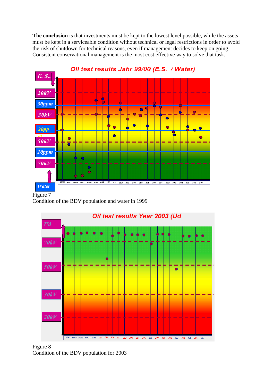**The conclusion** is that investments must be kept to the lowest level possible, while the assets must be kept in a serviceable condition without technical or legal restrictions in order to avoid the risk of shutdown for technical reasons, even if management decides to keep on going. Consistent conservational management is the most cost effective way to solve that task.



Oil test results Jahr 99/00 (E.S. / Water)

Figure  $\overline{7}$ Condition of the BDV population and water in 1999



Figure 8 Condition of the BDV population for 2003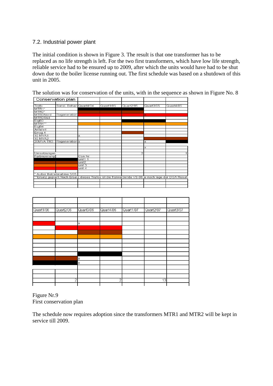## 7.2. Industrial power plant

The initial condition is shown in Figure 3. The result is that one transformer has to be replaced as no life strength is left. For the two first transformers, which have low life strength, reliable service had to be ensured up to 2009, after which the units would have had to be shut down due to the boiler license running out. The first schedule was based on a shutdown of this unit in 2005.

The solution was for conservation of the units, with in the sequence as shown in Figure No. 8

|                    | Conservation plan                                                                                  |          |           |           |              |           |
|--------------------|----------------------------------------------------------------------------------------------------|----------|-----------|-----------|--------------|-----------|
|                    |                                                                                                    |          |           |           |              |           |
| Trafo              | Sonst. Behan Quart4/04                                                                             |          | Quart1/05 | Quart2/05 | Quart3/05    | Quart4/05 |
| MTR <sub>1</sub> * |                                                                                                    |          |           |           |              |           |
| MTR <sub>2</sub> * |                                                                                                    |          |           |           |              |           |
| MTR3Nord           | Regeneration                                                                                       |          |           |           | $\mathbf{x}$ |           |
| MTR3Süd            |                                                                                                    |          |           |           |              |           |
| EigB3              |                                                                                                    |          |           |           |              |           |
| MTR4**             |                                                                                                    |          |           |           |              |           |
| EigB4              |                                                                                                    |          |           |           |              |           |
| Anfahr4            |                                                                                                    |          |           |           |              |           |
| Erreg.4            |                                                                                                    |          |           |           |              |           |
| 10 MVA1            |                                                                                                    | $\times$ |           |           |              |           |
| 10 MVA2            |                                                                                                    |          |           |           |              |           |
| 20MVA TR3          | Regeneration x                                                                                     |          |           |           | ×            |           |
|                    |                                                                                                    |          |           |           |              |           |
|                    |                                                                                                    |          |           |           | ×            |           |
|                    |                                                                                                    |          |           |           |              |           |
| Umsetzungen        |                                                                                                    |          |           | 2         |              | 1.        |
| Farbkennung        |                                                                                                    | Con Nr   |           |           |              |           |
|                    |                                                                                                    | unit1 1  |           |           |              |           |
|                    |                                                                                                    | unit2    |           |           |              |           |
|                    |                                                                                                    | unit 3   |           |           |              |           |
|                    |                                                                                                    | unit 4   |           |           |              |           |
|                    |                                                                                                    |          |           |           |              |           |
|                    | Außer Betriebnahme 5/05                                                                            |          |           |           |              |           |
|                    | Ersatz geplant Nach Ersatz dieses Trafos ist die freiwerdende VS-06 je nach lage der DGA Result*** |          |           |           |              |           |
|                    |                                                                                                    |          |           |           |              |           |
|                    |                                                                                                    |          |           |           |              |           |
|                    |                                                                                                    |          |           |           |              |           |

| Quart1/06 | Quart2/06 | Quart3/06      | Quart4/06 | Quart1/07      | Quart2/07 | Quart3/07 |
|-----------|-----------|----------------|-----------|----------------|-----------|-----------|
|           |           |                |           |                |           |           |
|           |           | X              |           |                |           |           |
|           |           |                |           |                |           |           |
|           |           |                |           |                |           |           |
|           |           |                |           |                |           |           |
|           |           | X              |           |                |           |           |
|           |           | X              |           |                |           |           |
|           |           |                |           |                |           |           |
|           |           | $\overline{2}$ |           | $\overline{2}$ |           | 13        |
|           |           |                |           |                |           |           |

Figure Nr.9 First conservation plan

The schedule now requires adoption since the transformers MTR1 and MTR2 will be kept in service till 2009.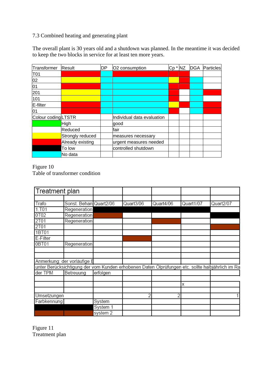# 7.3 Combined heating and generating plant

The overall plant is 30 years old and a shutdown was planned. In the meantime it was decided to keep the two blocks in service for at least ten more years.

| Transformer         | Result           | DP | O <sub>2</sub> consumption | Cp * NZ | <b>DGA</b> | Particles |
|---------------------|------------------|----|----------------------------|---------|------------|-----------|
| T01                 |                  |    |                            |         |            |           |
| 02                  |                  |    |                            |         |            |           |
| $\overline{01}$     |                  |    |                            |         |            |           |
| 201                 |                  |    |                            |         |            |           |
| 101                 |                  |    |                            |         |            |           |
| E-filter            |                  |    |                            |         |            |           |
| 01                  |                  |    |                            |         |            |           |
| Colour coding LTSTR |                  |    | Individual data evaluation |         |            |           |
|                     | High             |    | good                       |         |            |           |
|                     | Reduced          |    | fair                       |         |            |           |
|                     | Strongly reduced |    | measures necessary         |         |            |           |
|                     | Already existing |    | urgent measures needed     |         |            |           |
|                     | To low           |    | controlled shutdown        |         |            |           |
|                     | No data          |    |                            |         |            |           |

Figure 10 Table of transformer condition

| Treatment plan |                                                                                                  |          |           |           |           |           |
|----------------|--------------------------------------------------------------------------------------------------|----------|-----------|-----------|-----------|-----------|
|                |                                                                                                  |          |           |           |           |           |
| Trafo          | Sonst. Behan Quart2/06                                                                           |          | Quart3/06 | Quart4/06 | Quart1/07 | Quart2/07 |
| 1.701          | Regeneration                                                                                     |          |           |           |           |           |
| 0T02           | Regeneration                                                                                     |          |           |           |           |           |
| 2T01           | Regeneration                                                                                     |          |           |           |           |           |
| 2T01           |                                                                                                  |          |           |           |           |           |
| 1BT01          |                                                                                                  |          |           |           |           |           |
| E-Filter       |                                                                                                  |          |           |           |           |           |
| 0BT01          | Regeneration                                                                                     |          |           |           |           |           |
|                |                                                                                                  |          |           |           |           |           |
|                |                                                                                                  |          |           |           |           |           |
|                | Anmerkung: der vorläufige E                                                                      |          |           |           |           |           |
|                | unter Berücksichtigung der vom Kunden erhobenen Daten Ölprüfungen etc. sollte halbjährlich im Ra |          |           |           |           |           |
| der TPM        | Betreuung                                                                                        | erfolgen |           |           |           |           |
|                |                                                                                                  |          |           |           |           |           |
|                |                                                                                                  |          |           |           | х         |           |
|                |                                                                                                  |          |           |           |           |           |
| Umsetzungen    |                                                                                                  |          |           | 2         |           |           |
| Farbkennung    |                                                                                                  | System   |           |           |           |           |
|                |                                                                                                  | System 1 |           |           |           |           |
|                |                                                                                                  | system 2 |           |           |           |           |

Figure 11 Treatment plan